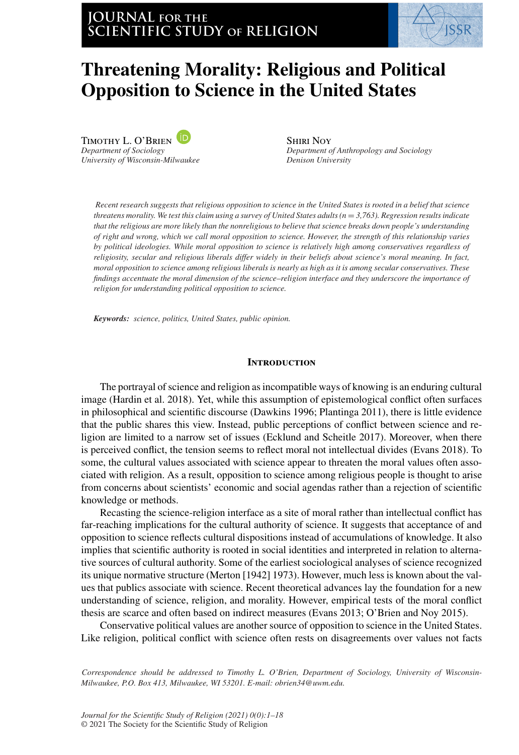# **JOURNAL for the SCIENTIFIC STUDY of RELIGION**



# **Threatening Morality: Religious and Political Opposition to Science in the United States**

Timothy L. O'Brien *Department of Sociology University of Wisconsin-Milwaukee*

Shiri Noy *Department of Anthropology and Sociology Denison University*

*Recent research suggests that religious opposition to science in the United States is rooted in a belief that science threatens morality. We test this claim using a survey of United States adults (n* = *3,763). Regression results indicate that the religious are more likely than the nonreligious to believe that science breaks down people's understanding of right and wrong, which we call moral opposition to science. However, the strength of this relationship varies by political ideologies. While moral opposition to science is relatively high among conservatives regardless of religiosity, secular and religious liberals differ widely in their beliefs about science's moral meaning. In fact, moral opposition to science among religious liberals is nearly as high as it is among secular conservatives. These findings accentuate the moral dimension of the science–religion interface and they underscore the importance of religion for understanding political opposition to science.*

*Keywords: science, politics, United States, public opinion.*

#### **Introduction**

The portrayal of science and religion as incompatible ways of knowing is an enduring cultural image (Hardin et al. 2018). Yet, while this assumption of epistemological conflict often surfaces in philosophical and scientific discourse (Dawkins 1996; Plantinga 2011), there is little evidence that the public shares this view. Instead, public perceptions of conflict between science and religion are limited to a narrow set of issues (Ecklund and Scheitle 2017). Moreover, when there is perceived conflict, the tension seems to reflect moral not intellectual divides (Evans 2018). To some, the cultural values associated with science appear to threaten the moral values often associated with religion. As a result, opposition to science among religious people is thought to arise from concerns about scientists' economic and social agendas rather than a rejection of scientific knowledge or methods.

Recasting the science-religion interface as a site of moral rather than intellectual conflict has far-reaching implications for the cultural authority of science. It suggests that acceptance of and opposition to science reflects cultural dispositions instead of accumulations of knowledge. It also implies that scientific authority is rooted in social identities and interpreted in relation to alternative sources of cultural authority. Some of the earliest sociological analyses of science recognized its unique normative structure (Merton [1942] 1973). However, much less is known about the values that publics associate with science. Recent theoretical advances lay the foundation for a new understanding of science, religion, and morality. However, empirical tests of the moral conflict thesis are scarce and often based on indirect measures (Evans 2013; O'Brien and Noy 2015).

Conservative political values are another source of opposition to science in the United States. Like religion, political conflict with science often rests on disagreements over values not facts

*Correspondence should be addressed to Timothy L. O'Brien, Department of Sociology, University of Wisconsin-Milwaukee, P.O. Box 413, Milwaukee, WI 53201. E-mail: obrien34@uwm.edu.*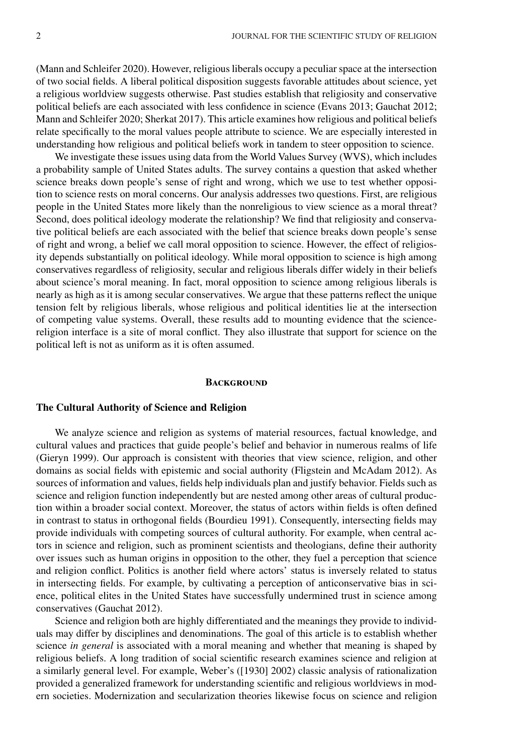(Mann and Schleifer 2020). However, religious liberals occupy a peculiar space at the intersection of two social fields. A liberal political disposition suggests favorable attitudes about science, yet a religious worldview suggests otherwise. Past studies establish that religiosity and conservative political beliefs are each associated with less confidence in science (Evans 2013; Gauchat 2012; Mann and Schleifer 2020; Sherkat 2017). This article examines how religious and political beliefs relate specifically to the moral values people attribute to science. We are especially interested in understanding how religious and political beliefs work in tandem to steer opposition to science.

We investigate these issues using data from the World Values Survey (WVS), which includes a probability sample of United States adults. The survey contains a question that asked whether science breaks down people's sense of right and wrong, which we use to test whether opposition to science rests on moral concerns. Our analysis addresses two questions. First, are religious people in the United States more likely than the nonreligious to view science as a moral threat? Second, does political ideology moderate the relationship? We find that religiosity and conservative political beliefs are each associated with the belief that science breaks down people's sense of right and wrong, a belief we call moral opposition to science. However, the effect of religiosity depends substantially on political ideology. While moral opposition to science is high among conservatives regardless of religiosity, secular and religious liberals differ widely in their beliefs about science's moral meaning. In fact, moral opposition to science among religious liberals is nearly as high as it is among secular conservatives. We argue that these patterns reflect the unique tension felt by religious liberals, whose religious and political identities lie at the intersection of competing value systems. Overall, these results add to mounting evidence that the sciencereligion interface is a site of moral conflict. They also illustrate that support for science on the political left is not as uniform as it is often assumed.

#### **BACKGROUND**

# **The Cultural Authority of Science and Religion**

We analyze science and religion as systems of material resources, factual knowledge, and cultural values and practices that guide people's belief and behavior in numerous realms of life (Gieryn 1999). Our approach is consistent with theories that view science, religion, and other domains as social fields with epistemic and social authority (Fligstein and McAdam 2012). As sources of information and values, fields help individuals plan and justify behavior. Fields such as science and religion function independently but are nested among other areas of cultural production within a broader social context. Moreover, the status of actors within fields is often defined in contrast to status in orthogonal fields (Bourdieu 1991). Consequently, intersecting fields may provide individuals with competing sources of cultural authority. For example, when central actors in science and religion, such as prominent scientists and theologians, define their authority over issues such as human origins in opposition to the other, they fuel a perception that science and religion conflict. Politics is another field where actors' status is inversely related to status in intersecting fields. For example, by cultivating a perception of anticonservative bias in science, political elites in the United States have successfully undermined trust in science among conservatives (Gauchat 2012).

Science and religion both are highly differentiated and the meanings they provide to individuals may differ by disciplines and denominations. The goal of this article is to establish whether science *in general* is associated with a moral meaning and whether that meaning is shaped by religious beliefs. A long tradition of social scientific research examines science and religion at a similarly general level. For example, Weber's ([1930] 2002) classic analysis of rationalization provided a generalized framework for understanding scientific and religious worldviews in modern societies. Modernization and secularization theories likewise focus on science and religion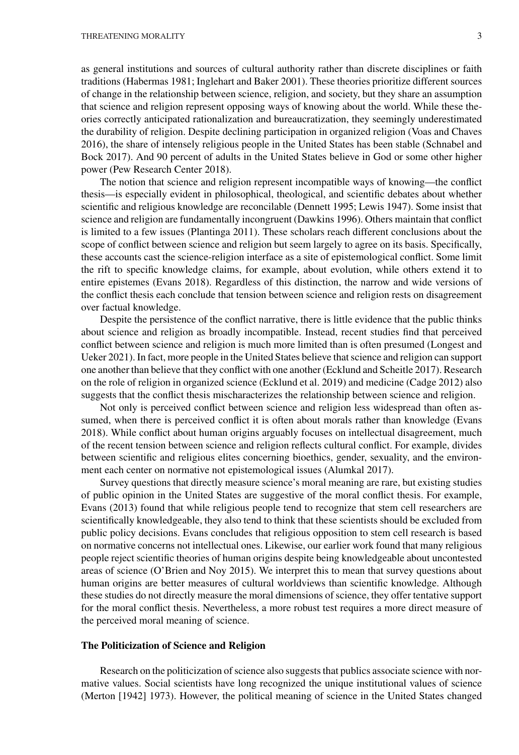as general institutions and sources of cultural authority rather than discrete disciplines or faith traditions (Habermas 1981; Inglehart and Baker 2001). These theories prioritize different sources of change in the relationship between science, religion, and society, but they share an assumption that science and religion represent opposing ways of knowing about the world. While these theories correctly anticipated rationalization and bureaucratization, they seemingly underestimated the durability of religion. Despite declining participation in organized religion (Voas and Chaves 2016), the share of intensely religious people in the United States has been stable (Schnabel and Bock 2017). And 90 percent of adults in the United States believe in God or some other higher power (Pew Research Center 2018).

The notion that science and religion represent incompatible ways of knowing—the conflict thesis—is especially evident in philosophical, theological, and scientific debates about whether scientific and religious knowledge are reconcilable (Dennett 1995; Lewis 1947). Some insist that science and religion are fundamentally incongruent (Dawkins 1996). Others maintain that conflict is limited to a few issues (Plantinga 2011). These scholars reach different conclusions about the scope of conflict between science and religion but seem largely to agree on its basis. Specifically, these accounts cast the science-religion interface as a site of epistemological conflict. Some limit the rift to specific knowledge claims, for example, about evolution, while others extend it to entire epistemes (Evans 2018). Regardless of this distinction, the narrow and wide versions of the conflict thesis each conclude that tension between science and religion rests on disagreement over factual knowledge.

Despite the persistence of the conflict narrative, there is little evidence that the public thinks about science and religion as broadly incompatible. Instead, recent studies find that perceived conflict between science and religion is much more limited than is often presumed (Longest and Ueker 2021). In fact, more people in the United States believe that science and religion can support one another than believe that they conflict with one another (Ecklund and Scheitle 2017). Research on the role of religion in organized science (Ecklund et al. 2019) and medicine (Cadge 2012) also suggests that the conflict thesis mischaracterizes the relationship between science and religion.

Not only is perceived conflict between science and religion less widespread than often assumed, when there is perceived conflict it is often about morals rather than knowledge (Evans 2018). While conflict about human origins arguably focuses on intellectual disagreement, much of the recent tension between science and religion reflects cultural conflict. For example, divides between scientific and religious elites concerning bioethics, gender, sexuality, and the environment each center on normative not epistemological issues (Alumkal 2017).

Survey questions that directly measure science's moral meaning are rare, but existing studies of public opinion in the United States are suggestive of the moral conflict thesis. For example, Evans (2013) found that while religious people tend to recognize that stem cell researchers are scientifically knowledgeable, they also tend to think that these scientists should be excluded from public policy decisions. Evans concludes that religious opposition to stem cell research is based on normative concerns not intellectual ones. Likewise, our earlier work found that many religious people reject scientific theories of human origins despite being knowledgeable about uncontested areas of science (O'Brien and Noy 2015). We interpret this to mean that survey questions about human origins are better measures of cultural worldviews than scientific knowledge. Although these studies do not directly measure the moral dimensions of science, they offer tentative support for the moral conflict thesis. Nevertheless, a more robust test requires a more direct measure of the perceived moral meaning of science.

#### **The Politicization of Science and Religion**

Research on the politicization of science also suggests that publics associate science with normative values. Social scientists have long recognized the unique institutional values of science (Merton [1942] 1973). However, the political meaning of science in the United States changed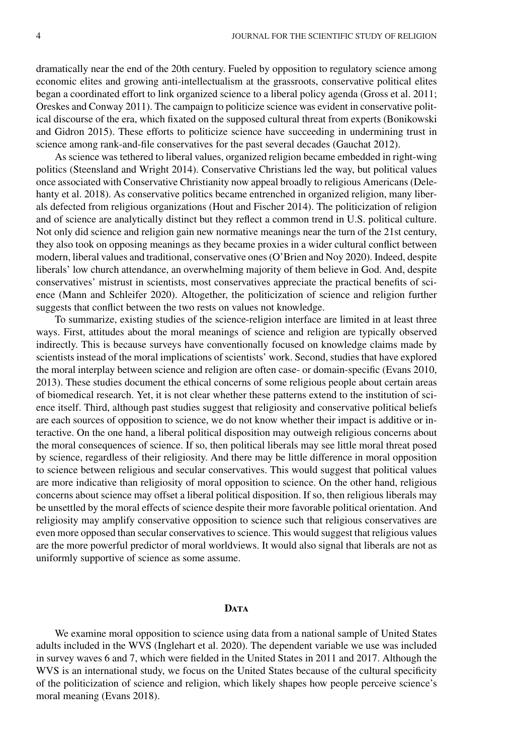dramatically near the end of the 20th century. Fueled by opposition to regulatory science among economic elites and growing anti-intellectualism at the grassroots, conservative political elites began a coordinated effort to link organized science to a liberal policy agenda (Gross et al. 2011; Oreskes and Conway 2011). The campaign to politicize science was evident in conservative political discourse of the era, which fixated on the supposed cultural threat from experts (Bonikowski and Gidron 2015). These efforts to politicize science have succeeding in undermining trust in science among rank-and-file conservatives for the past several decades (Gauchat 2012).

As science was tethered to liberal values, organized religion became embedded in right-wing politics (Steensland and Wright 2014). Conservative Christians led the way, but political values once associated with Conservative Christianity now appeal broadly to religious Americans (Delehanty et al. 2018). As conservative politics became entrenched in organized religion, many liberals defected from religious organizations (Hout and Fischer 2014). The politicization of religion and of science are analytically distinct but they reflect a common trend in U.S. political culture. Not only did science and religion gain new normative meanings near the turn of the 21st century, they also took on opposing meanings as they became proxies in a wider cultural conflict between modern, liberal values and traditional, conservative ones (O'Brien and Noy 2020). Indeed, despite liberals' low church attendance, an overwhelming majority of them believe in God. And, despite conservatives' mistrust in scientists, most conservatives appreciate the practical benefits of science (Mann and Schleifer 2020). Altogether, the politicization of science and religion further suggests that conflict between the two rests on values not knowledge.

To summarize, existing studies of the science-religion interface are limited in at least three ways. First, attitudes about the moral meanings of science and religion are typically observed indirectly. This is because surveys have conventionally focused on knowledge claims made by scientists instead of the moral implications of scientists' work. Second, studies that have explored the moral interplay between science and religion are often case- or domain-specific (Evans 2010, 2013). These studies document the ethical concerns of some religious people about certain areas of biomedical research. Yet, it is not clear whether these patterns extend to the institution of science itself. Third, although past studies suggest that religiosity and conservative political beliefs are each sources of opposition to science, we do not know whether their impact is additive or interactive. On the one hand, a liberal political disposition may outweigh religious concerns about the moral consequences of science. If so, then political liberals may see little moral threat posed by science, regardless of their religiosity. And there may be little difference in moral opposition to science between religious and secular conservatives. This would suggest that political values are more indicative than religiosity of moral opposition to science. On the other hand, religious concerns about science may offset a liberal political disposition. If so, then religious liberals may be unsettled by the moral effects of science despite their more favorable political orientation. And religiosity may amplify conservative opposition to science such that religious conservatives are even more opposed than secular conservatives to science. This would suggest that religious values are the more powerful predictor of moral worldviews. It would also signal that liberals are not as uniformly supportive of science as some assume.

## D<sub>ATA</sub>

We examine moral opposition to science using data from a national sample of United States adults included in the WVS (Inglehart et al. 2020). The dependent variable we use was included in survey waves 6 and 7, which were fielded in the United States in 2011 and 2017. Although the WVS is an international study, we focus on the United States because of the cultural specificity of the politicization of science and religion, which likely shapes how people perceive science's moral meaning (Evans 2018).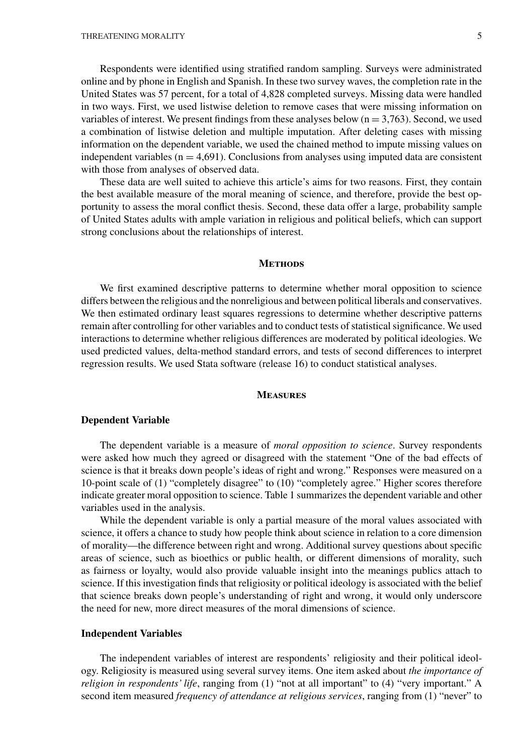Respondents were identified using stratified random sampling. Surveys were administrated online and by phone in English and Spanish. In these two survey waves, the completion rate in the United States was 57 percent, for a total of 4,828 completed surveys. Missing data were handled in two ways. First, we used listwise deletion to remove cases that were missing information on variables of interest. We present findings from these analyses below  $(n = 3,763)$ . Second, we used a combination of listwise deletion and multiple imputation. After deleting cases with missing information on the dependent variable, we used the chained method to impute missing values on independent variables ( $n = 4,691$ ). Conclusions from analyses using imputed data are consistent with those from analyses of observed data.

These data are well suited to achieve this article's aims for two reasons. First, they contain the best available measure of the moral meaning of science, and therefore, provide the best opportunity to assess the moral conflict thesis. Second, these data offer a large, probability sample of United States adults with ample variation in religious and political beliefs, which can support strong conclusions about the relationships of interest.

#### **Methods**

We first examined descriptive patterns to determine whether moral opposition to science differs between the religious and the nonreligious and between political liberals and conservatives. We then estimated ordinary least squares regressions to determine whether descriptive patterns remain after controlling for other variables and to conduct tests of statistical significance. We used interactions to determine whether religious differences are moderated by political ideologies. We used predicted values, delta-method standard errors, and tests of second differences to interpret regression results. We used Stata software (release 16) to conduct statistical analyses.

# **Measures**

# **Dependent Variable**

The dependent variable is a measure of *moral opposition to science*. Survey respondents were asked how much they agreed or disagreed with the statement "One of the bad effects of science is that it breaks down people's ideas of right and wrong." Responses were measured on a 10-point scale of (1) "completely disagree" to (10) "completely agree." Higher scores therefore indicate greater moral opposition to science. Table 1 summarizes the dependent variable and other variables used in the analysis.

While the dependent variable is only a partial measure of the moral values associated with science, it offers a chance to study how people think about science in relation to a core dimension of morality—the difference between right and wrong. Additional survey questions about specific areas of science, such as bioethics or public health, or different dimensions of morality, such as fairness or loyalty, would also provide valuable insight into the meanings publics attach to science. If this investigation finds that religiosity or political ideology is associated with the belief that science breaks down people's understanding of right and wrong, it would only underscore the need for new, more direct measures of the moral dimensions of science.

### **Independent Variables**

The independent variables of interest are respondents' religiosity and their political ideology. Religiosity is measured using several survey items. One item asked about *the importance of religion in respondents' life*, ranging from (1) "not at all important" to (4) "very important." A second item measured *frequency of attendance at religious services*, ranging from (1) "never" to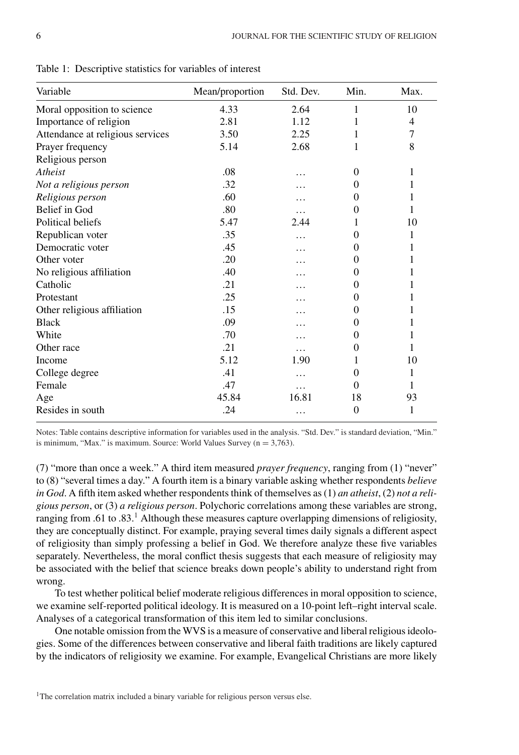| Variable                         | Mean/proportion | Std. Dev. | Min.     | Max.           |
|----------------------------------|-----------------|-----------|----------|----------------|
| Moral opposition to science      | 4.33            | 2.64      | 1        | 10             |
| Importance of religion           | 2.81            | 1.12      | 1        | $\overline{4}$ |
| Attendance at religious services | 3.50            | 2.25      | 1        | 7              |
| Prayer frequency                 | 5.14            | 2.68      | 1        | 8              |
| Religious person                 |                 |           |          |                |
| Atheist                          | .08             | .         | $\theta$ | 1              |
| Not a religious person           | .32             |           | $\theta$ | 1              |
| Religious person                 | .60             |           | $\theta$ |                |
| Belief in God                    | .80             |           | $\Omega$ | 1              |
| Political beliefs                | 5.47            | 2.44      |          | 10             |
| Republican voter                 | .35             | .         | $\Omega$ | 1              |
| Democratic voter                 | .45             | .         | $\Omega$ |                |
| Other voter                      | .20             |           | 0        |                |
| No religious affiliation         | .40             |           | $\Omega$ |                |
| Catholic                         | .21             |           | $\theta$ |                |
| Protestant                       | .25             | .         | $\theta$ |                |
| Other religious affiliation      | .15             | .         | $\Omega$ |                |
| <b>Black</b>                     | .09             | .         | $\Omega$ | 1              |
| White                            | .70             | .         | $\theta$ |                |
| Other race                       | .21             | .         | $\theta$ | 1              |
| Income                           | 5.12            | 1.90      |          | 10             |
| College degree                   | .41             | .         | 0        | 1              |
| Female                           | .47             | .         | 0        | 1              |
| Age                              | 45.84           | 16.81     | 18       | 93             |
| Resides in south                 | .24             | .         | $\theta$ | 1              |

Table 1: Descriptive statistics for variables of interest

Notes: Table contains descriptive information for variables used in the analysis. "Std. Dev." is standard deviation, "Min." is minimum, "Max." is maximum. Source: World Values Survey ( $n = 3,763$ ).

(7) "more than once a week." A third item measured *prayer frequency*, ranging from (1) "never" to (8) "several times a day." A fourth item is a binary variable asking whether respondents *believe in God*. A fifth item asked whether respondents think of themselves as (1) *an atheist*, (2) *not a religious person*, or (3) *a religious person*. Polychoric correlations among these variables are strong, ranging from .61 to .83.<sup>1</sup> Although these measures capture overlapping dimensions of religiosity, they are conceptually distinct. For example, praying several times daily signals a different aspect of religiosity than simply professing a belief in God. We therefore analyze these five variables separately. Nevertheless, the moral conflict thesis suggests that each measure of religiosity may be associated with the belief that science breaks down people's ability to understand right from wrong.

To test whether political belief moderate religious differences in moral opposition to science, we examine self-reported political ideology. It is measured on a 10-point left–right interval scale. Analyses of a categorical transformation of this item led to similar conclusions.

One notable omission from the WVS is a measure of conservative and liberal religious ideologies. Some of the differences between conservative and liberal faith traditions are likely captured by the indicators of religiosity we examine. For example, Evangelical Christians are more likely

<sup>&</sup>lt;sup>1</sup>The correlation matrix included a binary variable for religious person versus else.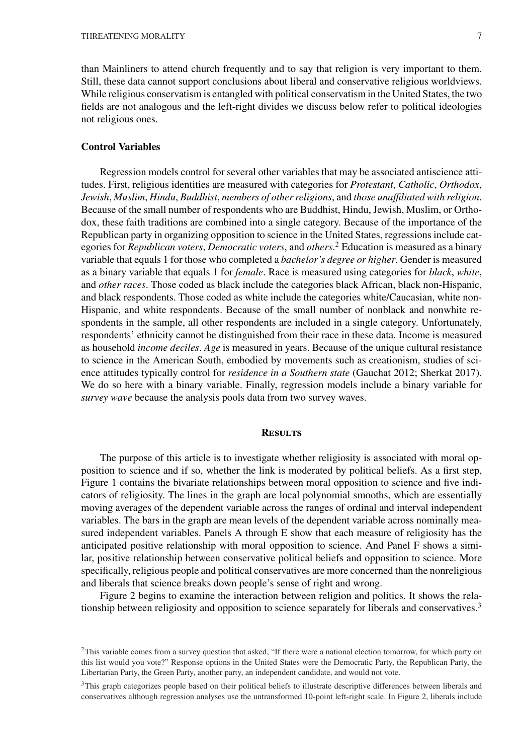than Mainliners to attend church frequently and to say that religion is very important to them. Still, these data cannot support conclusions about liberal and conservative religious worldviews. While religious conservatism is entangled with political conservatism in the United States, the two fields are not analogous and the left-right divides we discuss below refer to political ideologies not religious ones.

# **Control Variables**

Regression models control for several other variables that may be associated antiscience attitudes. First, religious identities are measured with categories for *Protestant*, *Catholic*, *Orthodox*, *Jewish*, *Muslim*, *Hindu*, *Buddhist*, *members of other religions*, and *those unaffiliated with religion*. Because of the small number of respondents who are Buddhist, Hindu, Jewish, Muslim, or Orthodox, these faith traditions are combined into a single category. Because of the importance of the Republican party in organizing opposition to science in the United States, regressions include categories for *Republican voters*, *Democratic voters*, and *others*. <sup>2</sup> Education is measured as a binary variable that equals 1 for those who completed a *bachelor's degree or higher*. Gender is measured as a binary variable that equals 1 for *female*. Race is measured using categories for *black*, *white*, and *other races*. Those coded as black include the categories black African, black non-Hispanic, and black respondents. Those coded as white include the categories white/Caucasian, white non-Hispanic, and white respondents. Because of the small number of nonblack and nonwhite respondents in the sample, all other respondents are included in a single category. Unfortunately, respondents' ethnicity cannot be distinguished from their race in these data. Income is measured as household *income deciles*. *Age* is measured in years. Because of the unique cultural resistance to science in the American South, embodied by movements such as creationism, studies of science attitudes typically control for *residence in a Southern state* (Gauchat 2012; Sherkat 2017). We do so here with a binary variable. Finally, regression models include a binary variable for *survey wave* because the analysis pools data from two survey waves.

#### **Results**

The purpose of this article is to investigate whether religiosity is associated with moral opposition to science and if so, whether the link is moderated by political beliefs. As a first step, Figure 1 contains the bivariate relationships between moral opposition to science and five indicators of religiosity. The lines in the graph are local polynomial smooths, which are essentially moving averages of the dependent variable across the ranges of ordinal and interval independent variables. The bars in the graph are mean levels of the dependent variable across nominally measured independent variables. Panels A through E show that each measure of religiosity has the anticipated positive relationship with moral opposition to science. And Panel F shows a similar, positive relationship between conservative political beliefs and opposition to science. More specifically, religious people and political conservatives are more concerned than the nonreligious and liberals that science breaks down people's sense of right and wrong.

Figure 2 begins to examine the interaction between religion and politics. It shows the relationship between religiosity and opposition to science separately for liberals and conservatives.<sup>3</sup>

<sup>3</sup>This graph categorizes people based on their political beliefs to illustrate descriptive differences between liberals and conservatives although regression analyses use the untransformed 10-point left-right scale. In Figure 2, liberals include

 $2$ This variable comes from a survey question that asked, "If there were a national election tomorrow, for which party on this list would you vote?" Response options in the United States were the Democratic Party, the Republican Party, the Libertarian Party, the Green Party, another party, an independent candidate, and would not vote.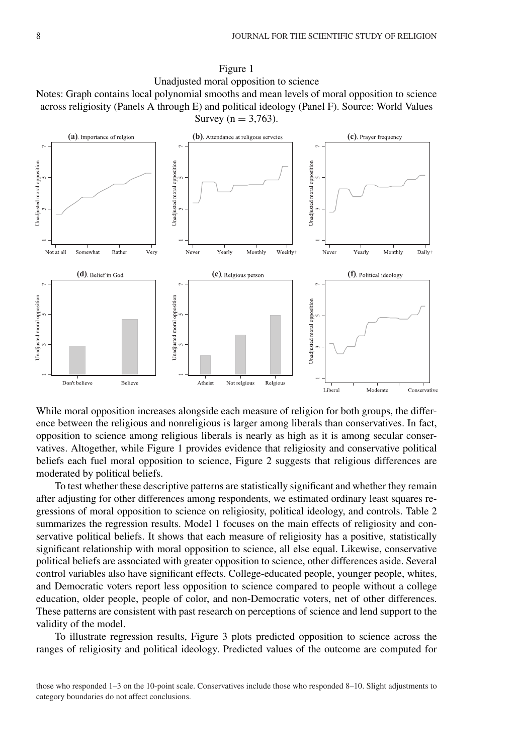



While moral opposition increases alongside each measure of religion for both groups, the difference between the religious and nonreligious is larger among liberals than conservatives. In fact, opposition to science among religious liberals is nearly as high as it is among secular conservatives. Altogether, while Figure 1 provides evidence that religiosity and conservative political beliefs each fuel moral opposition to science, Figure 2 suggests that religious differences are moderated by political beliefs.

To test whether these descriptive patterns are statistically significant and whether they remain after adjusting for other differences among respondents, we estimated ordinary least squares regressions of moral opposition to science on religiosity, political ideology, and controls. Table 2 summarizes the regression results. Model 1 focuses on the main effects of religiosity and conservative political beliefs. It shows that each measure of religiosity has a positive, statistically significant relationship with moral opposition to science, all else equal. Likewise, conservative political beliefs are associated with greater opposition to science, other differences aside. Several control variables also have significant effects. College-educated people, younger people, whites, and Democratic voters report less opposition to science compared to people without a college education, older people, people of color, and non-Democratic voters, net of other differences. These patterns are consistent with past research on perceptions of science and lend support to the validity of the model.

To illustrate regression results, Figure 3 plots predicted opposition to science across the ranges of religiosity and political ideology. Predicted values of the outcome are computed for

those who responded 1–3 on the 10-point scale. Conservatives include those who responded 8–10. Slight adjustments to category boundaries do not affect conclusions.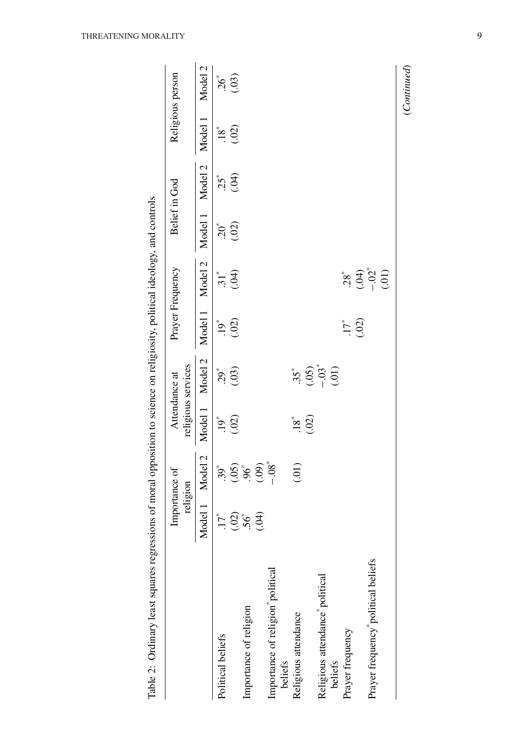|                                             |              | $\frac{1}{2}$             |                       | J                                   | $\ddot{\phantom{0}}$ | ;                              |         |               |         |                   |
|---------------------------------------------|--------------|---------------------------|-----------------------|-------------------------------------|----------------------|--------------------------------|---------|---------------|---------|-------------------|
|                                             |              | Importance of<br>religion |                       | religious services<br>Attendance at |                      | Prayer Frequency               |         | Belief in God |         | Religious person  |
|                                             |              | Model 1 Model 2           | Model 1               | Model 2                             | Model 1              | Model 2                        | Model 1 | Model 2       | Model 1 | Model 2           |
| Political beliefs                           | $\ddot{L}$   | $.39*$                    | $.19*$                | $.29*$                              | $.19*$               | $\ddot{31}^*$                  | $20^*$  | $25^{*}$      | $.18*$  |                   |
|                                             |              |                           | (.02)                 | (03)                                | (02)                 | (04)                           | (02)    | (04)          | (02)    | $36^{*}$<br>(.03) |
| Importance of religion                      | $(02)$<br>56 | (5, 6, 6)                 |                       |                                     |                      |                                |         |               |         |                   |
|                                             | (0.04)       |                           |                       |                                     |                      |                                |         |               |         |                   |
| Importance of religion political            |              |                           |                       |                                     |                      |                                |         |               |         |                   |
| beliefs                                     |              |                           |                       |                                     |                      |                                |         |               |         |                   |
| Religious attendance                        |              | (0.01)                    | $rac{8}{18}$<br>(.02) | $.35*$                              |                      |                                |         |               |         |                   |
|                                             |              |                           |                       |                                     |                      |                                |         |               |         |                   |
| Religious attendance <sup>*</sup> political |              |                           |                       | $(05)$<br>$-03$ <sup>*</sup>        |                      |                                |         |               |         |                   |
| beliefs                                     |              |                           |                       |                                     |                      |                                |         |               |         |                   |
| Prayer frequency                            |              |                           |                       |                                     | $.17^*$              |                                |         |               |         |                   |
|                                             |              |                           |                       |                                     | (.02)                |                                |         |               |         |                   |
| Prayer frequency political beliefs          |              |                           |                       |                                     |                      | $28^*$<br>$(39^* - 02^* - 01)$ |         |               |         |                   |
|                                             |              |                           |                       |                                     |                      |                                |         |               |         | (Continued)       |
|                                             |              |                           |                       |                                     |                      |                                |         |               |         |                   |

Table 2: Ordinary least squares regressions of moral opposition to science on religiosity, political ideology, and controls Table 2: Ordinary least squares regressions of moral opposition to science on religiosity, political ideology, and controls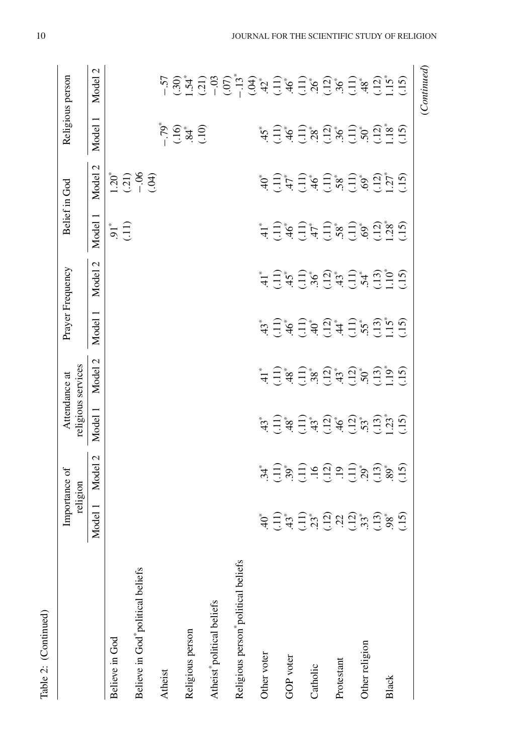| Table 2: (Continued)                |                                                                                                                                                                                                                                                                                                                                                                                                                                                                                                                                                                                                                                                                   |                                                                              |                                                                                                      |                                      |                                                                                                                                                                                              |                                       |                                      |                                  |                                           |                                                                                                                                                                                                                                                                                                                                                                                       |
|-------------------------------------|-------------------------------------------------------------------------------------------------------------------------------------------------------------------------------------------------------------------------------------------------------------------------------------------------------------------------------------------------------------------------------------------------------------------------------------------------------------------------------------------------------------------------------------------------------------------------------------------------------------------------------------------------------------------|------------------------------------------------------------------------------|------------------------------------------------------------------------------------------------------|--------------------------------------|----------------------------------------------------------------------------------------------------------------------------------------------------------------------------------------------|---------------------------------------|--------------------------------------|----------------------------------|-------------------------------------------|---------------------------------------------------------------------------------------------------------------------------------------------------------------------------------------------------------------------------------------------------------------------------------------------------------------------------------------------------------------------------------------|
|                                     |                                                                                                                                                                                                                                                                                                                                                                                                                                                                                                                                                                                                                                                                   | Importance of<br>religion                                                    | religious services<br>Attendance at                                                                  |                                      | Prayer Frequency                                                                                                                                                                             |                                       |                                      | Belief in God                    | Religious person                          |                                                                                                                                                                                                                                                                                                                                                                                       |
|                                     | lodel 1<br>$\mathbb{Z}$                                                                                                                                                                                                                                                                                                                                                                                                                                                                                                                                                                                                                                           | Model 2                                                                      | Model 1                                                                                              | Model 2                              | Model 1                                                                                                                                                                                      | Model 2                               | Model 1                              | Model <sub>2</sub>               | Model 1                                   | Model 2                                                                                                                                                                                                                                                                                                                                                                               |
| Believe in God                      |                                                                                                                                                                                                                                                                                                                                                                                                                                                                                                                                                                                                                                                                   |                                                                              |                                                                                                      |                                      |                                                                                                                                                                                              |                                       | $\overline{5}$ $\overline{1}$        |                                  |                                           |                                                                                                                                                                                                                                                                                                                                                                                       |
| Believe in God*political beliefs    |                                                                                                                                                                                                                                                                                                                                                                                                                                                                                                                                                                                                                                                                   |                                                                              |                                                                                                      |                                      |                                                                                                                                                                                              |                                       |                                      | $1.20^{*}$<br>$-0.31$<br>$-0.04$ |                                           |                                                                                                                                                                                                                                                                                                                                                                                       |
| Atheist                             |                                                                                                                                                                                                                                                                                                                                                                                                                                                                                                                                                                                                                                                                   |                                                                              |                                                                                                      |                                      |                                                                                                                                                                                              |                                       |                                      |                                  | $-79$<br>$-39$<br>$-35$<br>$-10$<br>$-10$ |                                                                                                                                                                                                                                                                                                                                                                                       |
| Religious person                    |                                                                                                                                                                                                                                                                                                                                                                                                                                                                                                                                                                                                                                                                   |                                                                              |                                                                                                      |                                      |                                                                                                                                                                                              |                                       |                                      |                                  |                                           |                                                                                                                                                                                                                                                                                                                                                                                       |
|                                     |                                                                                                                                                                                                                                                                                                                                                                                                                                                                                                                                                                                                                                                                   |                                                                              |                                                                                                      |                                      |                                                                                                                                                                                              |                                       |                                      |                                  |                                           |                                                                                                                                                                                                                                                                                                                                                                                       |
| Atheist*political beliefs           |                                                                                                                                                                                                                                                                                                                                                                                                                                                                                                                                                                                                                                                                   |                                                                              |                                                                                                      |                                      |                                                                                                                                                                                              |                                       |                                      |                                  |                                           |                                                                                                                                                                                                                                                                                                                                                                                       |
| Religious person *political beliefs |                                                                                                                                                                                                                                                                                                                                                                                                                                                                                                                                                                                                                                                                   |                                                                              |                                                                                                      |                                      |                                                                                                                                                                                              |                                       |                                      |                                  |                                           | $\begin{array}{l} \nabla_{1}\nabla_{2}\nabla_{3}\nabla_{4}\nabla_{5}\nabla_{6}\nabla_{7}\nabla_{8}\nabla_{9}\nabla_{1}\nabla_{1}\nabla_{1}\nabla_{2}\nabla_{2}\nabla_{1}\nabla_{1}\nabla_{2}\nabla_{2}\nabla_{1}\nabla_{2}\nabla_{2}\nabla_{2}\nabla_{2}\nabla_{2}\nabla_{2}\nabla_{2}\nabla_{2}\nabla_{2}\nabla_{2}\nabla_{2}\nabla_{2}\nabla_{2}\nabla_{2}\nabla_{2}\nabla_{2}\nab$ |
| Other voter                         |                                                                                                                                                                                                                                                                                                                                                                                                                                                                                                                                                                                                                                                                   |                                                                              |                                                                                                      |                                      |                                                                                                                                                                                              |                                       |                                      |                                  |                                           |                                                                                                                                                                                                                                                                                                                                                                                       |
|                                     |                                                                                                                                                                                                                                                                                                                                                                                                                                                                                                                                                                                                                                                                   |                                                                              |                                                                                                      |                                      |                                                                                                                                                                                              |                                       |                                      |                                  |                                           |                                                                                                                                                                                                                                                                                                                                                                                       |
| GOP voter                           |                                                                                                                                                                                                                                                                                                                                                                                                                                                                                                                                                                                                                                                                   |                                                                              |                                                                                                      |                                      |                                                                                                                                                                                              |                                       |                                      |                                  |                                           |                                                                                                                                                                                                                                                                                                                                                                                       |
|                                     |                                                                                                                                                                                                                                                                                                                                                                                                                                                                                                                                                                                                                                                                   |                                                                              |                                                                                                      |                                      |                                                                                                                                                                                              |                                       |                                      |                                  |                                           |                                                                                                                                                                                                                                                                                                                                                                                       |
| Catholic                            |                                                                                                                                                                                                                                                                                                                                                                                                                                                                                                                                                                                                                                                                   |                                                                              |                                                                                                      |                                      |                                                                                                                                                                                              |                                       |                                      |                                  |                                           |                                                                                                                                                                                                                                                                                                                                                                                       |
| Protestant                          | $\overset{*}{\Rightarrow} \frac{-1}{2} \overset{*}{\Rightarrow} \overset{*}{\Rightarrow} \frac{-1}{2} \overset{*}{\Rightarrow} \overset{*}{\Rightarrow} \frac{2}{2} \overset{*}{\Rightarrow} \overset{2}{2} \overset{*}{\Rightarrow} \overset{*}{\Rightarrow} \frac{1}{2} \overset{*}{\Rightarrow} \overset{*}{\Rightarrow} \overset{*}{\Rightarrow} \overset{*}{\Rightarrow} \overset{*}{\Rightarrow} \overset{*}{\Rightarrow} \overset{*}{\Rightarrow} \overset{*}{\Rightarrow} \overset{*}{\Rightarrow} \overset{*}{\Rightarrow} \overset{*}{\Rightarrow} \overset{*}{\Rightarrow} \overset{*}{\Rightarrow} \overset{*}{\Rightarrow} \overset{*}{\Rightarrow}$ | يَّةٍ وَهُمْ يَا فَيْ الْمَرْيَةِ وَجَابَ إِنَّا مِنْ الْمَرْيَةِ وَجَابَ بِ | بَدْ بَيْنَ مِنْ الْبَيْنَ مِنْ الْبَيْنَ مِنْ الْبَيْنَ مِنْ الْبَيْنَ بِيَنْ مِنْ الْبَيْنَ بِيَنْ | ؙؖ <del>۫</del> ؾٙڋؾ؋ٚڟڔػۄڟڸػٞؠۄۑڿؠڎ | بَيْتِ بَيْتِهِ وَجِبَدَةٍ مِنْ الْبَيْتِ بِهِ مِنْ الْبَيْتِ بِهِ مِنْ الْبَيْتِ بِهِ مَنْ أَنْفُسْ<br>يَبْتَدَبَّتَ بِالْبَيْتِ بِهِ مِنْ الْبَيْتِ بِهِ بِنَا بِهِ مِنْ الْبَيْتِ بِهِ بِ | ؖ <del>۫</del><br>ؖٙٛؾؚٙ؊ڹؖ؋ۣ۩؉ڋۑ؆ۑ۩؆ | ؖڿڔؾ؋ <del>ؚ</del><br>ٵٚڿۄڿڔڿۄڋؠ؆ۄۑڗ | ؖڣۭٙؾؖٲڋؾ؋ڿ۩ٞ؋؊ٙ<br>ڣؾٙٵؿ؋ؾ؋ۄٚڲۄ | ڽ<br>ڽڐڹ؋ۣؾ؋؆ڟۣ؋ۑ؆ۿٳۣ                     |                                                                                                                                                                                                                                                                                                                                                                                       |
|                                     |                                                                                                                                                                                                                                                                                                                                                                                                                                                                                                                                                                                                                                                                   |                                                                              |                                                                                                      |                                      |                                                                                                                                                                                              |                                       |                                      |                                  |                                           |                                                                                                                                                                                                                                                                                                                                                                                       |
| Other religion                      |                                                                                                                                                                                                                                                                                                                                                                                                                                                                                                                                                                                                                                                                   |                                                                              |                                                                                                      |                                      |                                                                                                                                                                                              |                                       |                                      |                                  |                                           |                                                                                                                                                                                                                                                                                                                                                                                       |
|                                     |                                                                                                                                                                                                                                                                                                                                                                                                                                                                                                                                                                                                                                                                   |                                                                              |                                                                                                      |                                      |                                                                                                                                                                                              |                                       |                                      |                                  |                                           |                                                                                                                                                                                                                                                                                                                                                                                       |
| <b>Black</b>                        |                                                                                                                                                                                                                                                                                                                                                                                                                                                                                                                                                                                                                                                                   |                                                                              |                                                                                                      |                                      |                                                                                                                                                                                              |                                       |                                      |                                  |                                           |                                                                                                                                                                                                                                                                                                                                                                                       |
|                                     |                                                                                                                                                                                                                                                                                                                                                                                                                                                                                                                                                                                                                                                                   |                                                                              |                                                                                                      |                                      |                                                                                                                                                                                              |                                       |                                      |                                  |                                           |                                                                                                                                                                                                                                                                                                                                                                                       |
|                                     |                                                                                                                                                                                                                                                                                                                                                                                                                                                                                                                                                                                                                                                                   |                                                                              |                                                                                                      |                                      |                                                                                                                                                                                              |                                       |                                      |                                  |                                           | (Continued)                                                                                                                                                                                                                                                                                                                                                                           |

Table 2: (Continued)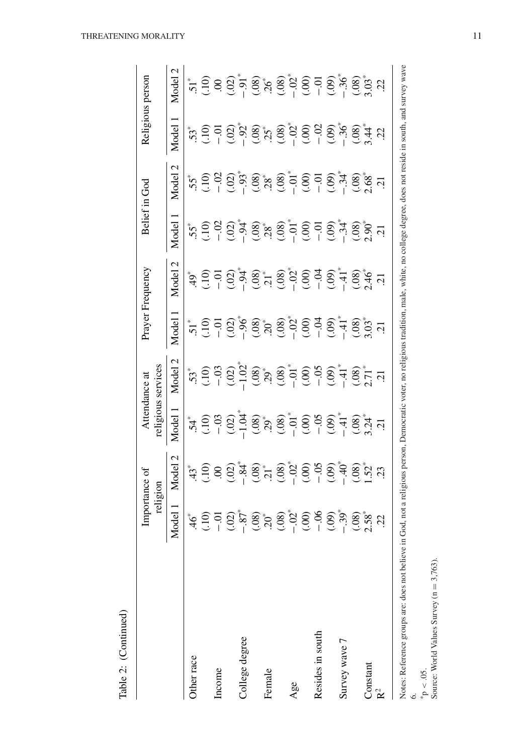|                                                                                                                                                                                                   |                                                                                                                                         | Importance of<br>religion |                                                                                                                                                                                                                                                                                              | religious services<br>Attendance at                                                                                                                                                                                                                                                                                              |                                                                                                                                                                                                                                                                                                                                                                                                                                                                                | Prayer Frequency         |                                                                                                                                                                                                                                                                                                          | Belief in God                                                                                                                                                                                                 | Religious person                                                                                                                                                                                                                                                                                                                                                     |                                                                                                                                                                                                                                                                                                                                                                                                                                |
|---------------------------------------------------------------------------------------------------------------------------------------------------------------------------------------------------|-----------------------------------------------------------------------------------------------------------------------------------------|---------------------------|----------------------------------------------------------------------------------------------------------------------------------------------------------------------------------------------------------------------------------------------------------------------------------------------|----------------------------------------------------------------------------------------------------------------------------------------------------------------------------------------------------------------------------------------------------------------------------------------------------------------------------------|--------------------------------------------------------------------------------------------------------------------------------------------------------------------------------------------------------------------------------------------------------------------------------------------------------------------------------------------------------------------------------------------------------------------------------------------------------------------------------|--------------------------|----------------------------------------------------------------------------------------------------------------------------------------------------------------------------------------------------------------------------------------------------------------------------------------------------------|---------------------------------------------------------------------------------------------------------------------------------------------------------------------------------------------------------------|----------------------------------------------------------------------------------------------------------------------------------------------------------------------------------------------------------------------------------------------------------------------------------------------------------------------------------------------------------------------|--------------------------------------------------------------------------------------------------------------------------------------------------------------------------------------------------------------------------------------------------------------------------------------------------------------------------------------------------------------------------------------------------------------------------------|
|                                                                                                                                                                                                   | odel<br>Σ                                                                                                                               | Model 2                   | Model                                                                                                                                                                                                                                                                                        | Model                                                                                                                                                                                                                                                                                                                            | Model                                                                                                                                                                                                                                                                                                                                                                                                                                                                          | $\mathbf{\sim}$<br>Model | Model                                                                                                                                                                                                                                                                                                    | Model                                                                                                                                                                                                         | Model                                                                                                                                                                                                                                                                                                                                                                | $\mathcal{C}$<br>Model                                                                                                                                                                                                                                                                                                                                                                                                         |
| Other race                                                                                                                                                                                        | $\mathcal{Q}^*$                                                                                                                         |                           |                                                                                                                                                                                                                                                                                              |                                                                                                                                                                                                                                                                                                                                  |                                                                                                                                                                                                                                                                                                                                                                                                                                                                                |                          |                                                                                                                                                                                                                                                                                                          |                                                                                                                                                                                                               |                                                                                                                                                                                                                                                                                                                                                                      |                                                                                                                                                                                                                                                                                                                                                                                                                                |
|                                                                                                                                                                                                   |                                                                                                                                         |                           | $5^*$<br>$5^*$<br>$5^*$<br>$5^*$<br>$5^*$<br>$5^*$<br>$5^*$<br>$5^*$<br>$5^*$<br>$5^*$<br>$5^*$<br>$5^*$<br>$5^*$<br>$5^*$<br>$5^*$<br>$5^*$<br>$5^*$<br>$5^*$<br>$5^*$<br>$5^*$<br>$5^*$<br>$5^*$<br>$5^*$<br>$5^*$<br>$5^*$<br>$5^*$<br>$5^*$<br>$5^*$<br>$5^*$<br>$5^*$<br>$5^*$<br>$5^*$ | $.53^{\ast}$<br>$.63^{\ast}$<br>$.62^{\ast}$<br>$.62^{\ast}$<br>$.62^{\ast}$<br>$.62^{\ast}$<br>$.62^{\ast}$<br>$.62^{\ast}$<br>$.62^{\ast}$<br>$.62^{\ast}$<br>$.62^{\ast}$<br>$.62^{\ast}$<br>$.62^{\ast}$<br>$.62^{\ast}$<br>$.62^{\ast}$<br>$.62^{\ast}$<br>$.62^{\ast}$<br>$.62^{\ast}$<br>$.62^{\ast}$<br>$.62^{\ast}$<br> | $5.5\overset{4}{\rightarrow} 1.5\overset{5}{\rightarrow} 1.5\overset{6}{\rightarrow} 1.5\overset{6}{\rightarrow} 1.5\overset{6}{\rightarrow} 1.5\overset{7}{\rightarrow} 1.5\overset{8}{\rightarrow} 1.5\overset{9}{\rightarrow} 1.5\overset{11}{\rightarrow} 1.5\overset{12}{\rightarrow} 1.5\overset{13}{\rightarrow} 1.5\overset{14}{\rightarrow} 1.5\overset{15}{\rightarrow} 1.5\overset{17}{\rightarrow} 1.5\overset{17}{\rightarrow} 1.5\overset{17}{\rightarrow} 1.5\$ |                          | $5.5\frac{1}{2}$<br>$5.6\frac{1}{2}$<br>$5.6\frac{1}{2}$<br>$5.6\frac{1}{2}$<br>$5.6\frac{1}{2}$<br>$5.6\frac{1}{2}$<br>$5.6\frac{1}{2}$<br>$5.6\frac{1}{2}$<br>$5.6\frac{1}{2}$<br>$5.6\frac{1}{2}$<br>$5.6\frac{1}{2}$<br>$5.6\frac{1}{2}$<br>$5.6\frac{1}{2}$<br>$5.6\frac{1}{2}$<br>$5.6\frac{1}{2}$ | $5.5\%$<br>$5.6\%$<br>$5.6\%$<br>$5.6\%$<br>$5.6\%$<br>$5.6\%$<br>$5.6\%$<br>$5.6\%$<br>$5.6\%$<br>$5.6\%$<br>$5.6\%$<br>$5.6\%$<br>$5.6\%$<br>$5.6\%$<br>$5.6\%$<br>$5.6\%$<br>$5.6\%$<br>$5.6\%$<br>$5.6\%$ | $53^{\degree}$<br>$59^{\degree}$<br>$59^{\degree}$<br>$59^{\degree}$<br>$59^{\degree}$<br>$59^{\degree}$<br>$59^{\degree}$<br>$59^{\degree}$<br>$59^{\degree}$<br>$59^{\degree}$<br>$59^{\degree}$<br>$59^{\degree}$<br>$59^{\degree}$<br>$59^{\degree}$<br>$59^{\degree}$<br>$59^{\degree}$<br>$59^{\degree}$<br>$59^{\degree}$<br>$59^{\degree}$<br>$59^{\degree}$ | $\begin{array}{l} \mathbf{\ddot{r}}_{1} \ \mathbf{\ddot{r}}_{2} \ \mathbf{\ddot{r}}_{3} \ \mathbf{\ddot{r}}_{4} \ \mathbf{\ddot{r}}_{5} \ \mathbf{\ddot{r}}_{6} \ \mathbf{\ddot{r}}_{7} \ \mathbf{\ddot{r}}_{8} \ \mathbf{\ddot{r}}_{9} \ \mathbf{\ddot{r}}_{9} \ \mathbf{\ddot{r}}_{9} \ \mathbf{\ddot{r}}_{9} \ \mathbf{\ddot{r}}_{1} \ \mathbf{\ddot{r}}_{1} \ \mathbf{\ddot{r}}_{1} \ \mathbf{\ddot{r}}_{1} \ \mathbf{\dd$ |
| Income                                                                                                                                                                                            |                                                                                                                                         |                           |                                                                                                                                                                                                                                                                                              |                                                                                                                                                                                                                                                                                                                                  |                                                                                                                                                                                                                                                                                                                                                                                                                                                                                |                          |                                                                                                                                                                                                                                                                                                          |                                                                                                                                                                                                               |                                                                                                                                                                                                                                                                                                                                                                      |                                                                                                                                                                                                                                                                                                                                                                                                                                |
|                                                                                                                                                                                                   | $\begin{bmatrix} 0 & 0 & 0 \\ 0 & 0 & 0 \\ 0 & 0 & 0 \end{bmatrix}$ $\begin{bmatrix} 0 & 0 & 0 \\ 0 & 0 & 0 \\ 0 & 0 & 0 \end{bmatrix}$ |                           |                                                                                                                                                                                                                                                                                              |                                                                                                                                                                                                                                                                                                                                  |                                                                                                                                                                                                                                                                                                                                                                                                                                                                                |                          |                                                                                                                                                                                                                                                                                                          |                                                                                                                                                                                                               |                                                                                                                                                                                                                                                                                                                                                                      |                                                                                                                                                                                                                                                                                                                                                                                                                                |
| College degree                                                                                                                                                                                    |                                                                                                                                         |                           |                                                                                                                                                                                                                                                                                              |                                                                                                                                                                                                                                                                                                                                  |                                                                                                                                                                                                                                                                                                                                                                                                                                                                                |                          |                                                                                                                                                                                                                                                                                                          |                                                                                                                                                                                                               |                                                                                                                                                                                                                                                                                                                                                                      |                                                                                                                                                                                                                                                                                                                                                                                                                                |
|                                                                                                                                                                                                   |                                                                                                                                         |                           |                                                                                                                                                                                                                                                                                              |                                                                                                                                                                                                                                                                                                                                  |                                                                                                                                                                                                                                                                                                                                                                                                                                                                                |                          |                                                                                                                                                                                                                                                                                                          |                                                                                                                                                                                                               |                                                                                                                                                                                                                                                                                                                                                                      |                                                                                                                                                                                                                                                                                                                                                                                                                                |
| Female                                                                                                                                                                                            |                                                                                                                                         |                           |                                                                                                                                                                                                                                                                                              |                                                                                                                                                                                                                                                                                                                                  |                                                                                                                                                                                                                                                                                                                                                                                                                                                                                |                          |                                                                                                                                                                                                                                                                                                          |                                                                                                                                                                                                               |                                                                                                                                                                                                                                                                                                                                                                      |                                                                                                                                                                                                                                                                                                                                                                                                                                |
|                                                                                                                                                                                                   |                                                                                                                                         |                           |                                                                                                                                                                                                                                                                                              |                                                                                                                                                                                                                                                                                                                                  |                                                                                                                                                                                                                                                                                                                                                                                                                                                                                |                          |                                                                                                                                                                                                                                                                                                          |                                                                                                                                                                                                               |                                                                                                                                                                                                                                                                                                                                                                      |                                                                                                                                                                                                                                                                                                                                                                                                                                |
| Age                                                                                                                                                                                               |                                                                                                                                         |                           |                                                                                                                                                                                                                                                                                              |                                                                                                                                                                                                                                                                                                                                  |                                                                                                                                                                                                                                                                                                                                                                                                                                                                                |                          |                                                                                                                                                                                                                                                                                                          |                                                                                                                                                                                                               |                                                                                                                                                                                                                                                                                                                                                                      |                                                                                                                                                                                                                                                                                                                                                                                                                                |
|                                                                                                                                                                                                   | $(-0.8)$<br>$(-0.00)$<br>$(-0.00)$                                                                                                      |                           |                                                                                                                                                                                                                                                                                              |                                                                                                                                                                                                                                                                                                                                  |                                                                                                                                                                                                                                                                                                                                                                                                                                                                                |                          |                                                                                                                                                                                                                                                                                                          |                                                                                                                                                                                                               |                                                                                                                                                                                                                                                                                                                                                                      |                                                                                                                                                                                                                                                                                                                                                                                                                                |
| Resides in south                                                                                                                                                                                  |                                                                                                                                         |                           |                                                                                                                                                                                                                                                                                              |                                                                                                                                                                                                                                                                                                                                  |                                                                                                                                                                                                                                                                                                                                                                                                                                                                                |                          |                                                                                                                                                                                                                                                                                                          |                                                                                                                                                                                                               |                                                                                                                                                                                                                                                                                                                                                                      |                                                                                                                                                                                                                                                                                                                                                                                                                                |
|                                                                                                                                                                                                   | (60, 39)                                                                                                                                |                           |                                                                                                                                                                                                                                                                                              |                                                                                                                                                                                                                                                                                                                                  |                                                                                                                                                                                                                                                                                                                                                                                                                                                                                |                          |                                                                                                                                                                                                                                                                                                          |                                                                                                                                                                                                               |                                                                                                                                                                                                                                                                                                                                                                      |                                                                                                                                                                                                                                                                                                                                                                                                                                |
| Survey wave 7                                                                                                                                                                                     |                                                                                                                                         |                           |                                                                                                                                                                                                                                                                                              |                                                                                                                                                                                                                                                                                                                                  |                                                                                                                                                                                                                                                                                                                                                                                                                                                                                |                          |                                                                                                                                                                                                                                                                                                          |                                                                                                                                                                                                               |                                                                                                                                                                                                                                                                                                                                                                      |                                                                                                                                                                                                                                                                                                                                                                                                                                |
|                                                                                                                                                                                                   | (80)                                                                                                                                    |                           |                                                                                                                                                                                                                                                                                              |                                                                                                                                                                                                                                                                                                                                  |                                                                                                                                                                                                                                                                                                                                                                                                                                                                                |                          |                                                                                                                                                                                                                                                                                                          |                                                                                                                                                                                                               |                                                                                                                                                                                                                                                                                                                                                                      |                                                                                                                                                                                                                                                                                                                                                                                                                                |
| Constant                                                                                                                                                                                          | $-58$                                                                                                                                   |                           |                                                                                                                                                                                                                                                                                              |                                                                                                                                                                                                                                                                                                                                  |                                                                                                                                                                                                                                                                                                                                                                                                                                                                                |                          |                                                                                                                                                                                                                                                                                                          |                                                                                                                                                                                                               |                                                                                                                                                                                                                                                                                                                                                                      |                                                                                                                                                                                                                                                                                                                                                                                                                                |
| $R^2$                                                                                                                                                                                             | $\tilde{\mathcal{L}}$                                                                                                                   | 23                        | $\overline{21}$                                                                                                                                                                                                                                                                              |                                                                                                                                                                                                                                                                                                                                  |                                                                                                                                                                                                                                                                                                                                                                                                                                                                                |                          |                                                                                                                                                                                                                                                                                                          |                                                                                                                                                                                                               | 22                                                                                                                                                                                                                                                                                                                                                                   | 22                                                                                                                                                                                                                                                                                                                                                                                                                             |
| Notes: Reference groups are: does not believe in God, not a religious person, Democratic voter, no religious tradition, male, white, no college degree, does not reside in south, and survey wave |                                                                                                                                         |                           |                                                                                                                                                                                                                                                                                              |                                                                                                                                                                                                                                                                                                                                  |                                                                                                                                                                                                                                                                                                                                                                                                                                                                                |                          |                                                                                                                                                                                                                                                                                                          |                                                                                                                                                                                                               |                                                                                                                                                                                                                                                                                                                                                                      |                                                                                                                                                                                                                                                                                                                                                                                                                                |
| $^*p < .05$                                                                                                                                                                                       |                                                                                                                                         |                           |                                                                                                                                                                                                                                                                                              |                                                                                                                                                                                                                                                                                                                                  |                                                                                                                                                                                                                                                                                                                                                                                                                                                                                |                          |                                                                                                                                                                                                                                                                                                          |                                                                                                                                                                                                               |                                                                                                                                                                                                                                                                                                                                                                      |                                                                                                                                                                                                                                                                                                                                                                                                                                |
| Source: World Values Survey ( $n = 3,763$ ).                                                                                                                                                      |                                                                                                                                         |                           |                                                                                                                                                                                                                                                                                              |                                                                                                                                                                                                                                                                                                                                  |                                                                                                                                                                                                                                                                                                                                                                                                                                                                                |                          |                                                                                                                                                                                                                                                                                                          |                                                                                                                                                                                                               |                                                                                                                                                                                                                                                                                                                                                                      |                                                                                                                                                                                                                                                                                                                                                                                                                                |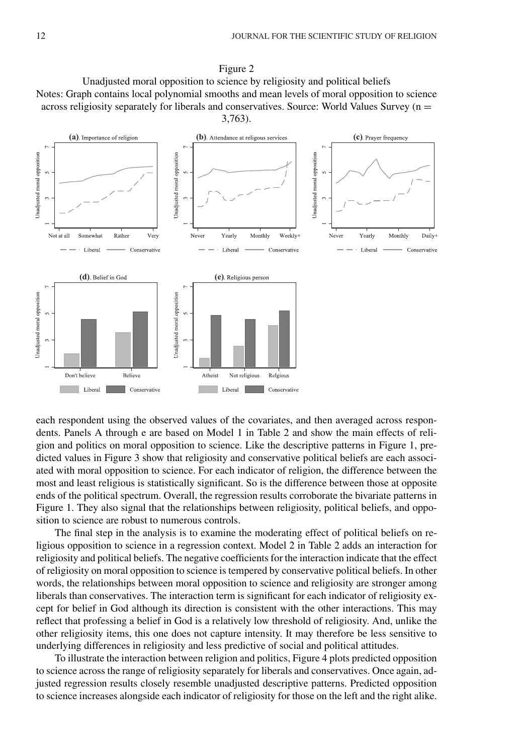



each respondent using the observed values of the covariates, and then averaged across respondents. Panels A through e are based on Model 1 in Table 2 and show the main effects of religion and politics on moral opposition to science. Like the descriptive patterns in Figure 1, predicted values in Figure 3 show that religiosity and conservative political beliefs are each associated with moral opposition to science. For each indicator of religion, the difference between the most and least religious is statistically significant. So is the difference between those at opposite ends of the political spectrum. Overall, the regression results corroborate the bivariate patterns in Figure 1. They also signal that the relationships between religiosity, political beliefs, and opposition to science are robust to numerous controls.

The final step in the analysis is to examine the moderating effect of political beliefs on religious opposition to science in a regression context. Model 2 in Table 2 adds an interaction for religiosity and political beliefs. The negative coefficients for the interaction indicate that the effect of religiosity on moral opposition to science is tempered by conservative political beliefs. In other words, the relationships between moral opposition to science and religiosity are stronger among liberals than conservatives. The interaction term is significant for each indicator of religiosity except for belief in God although its direction is consistent with the other interactions. This may reflect that professing a belief in God is a relatively low threshold of religiosity. And, unlike the other religiosity items, this one does not capture intensity. It may therefore be less sensitive to underlying differences in religiosity and less predictive of social and political attitudes.

To illustrate the interaction between religion and politics, Figure 4 plots predicted opposition to science across the range of religiosity separately for liberals and conservatives. Once again, adjusted regression results closely resemble unadjusted descriptive patterns. Predicted opposition to science increases alongside each indicator of religiosity for those on the left and the right alike.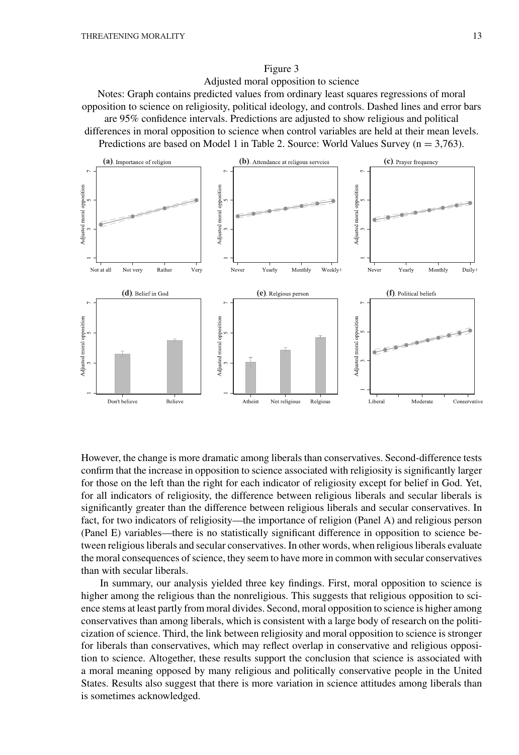# Figure 3

Adjusted moral opposition to science

Notes: Graph contains predicted values from ordinary least squares regressions of moral opposition to science on religiosity, political ideology, and controls. Dashed lines and error bars are 95% confidence intervals. Predictions are adjusted to show religious and political differences in moral opposition to science when control variables are held at their mean levels. Predictions are based on Model 1 in Table 2. Source: World Values Survey  $(n = 3.763)$ .



However, the change is more dramatic among liberals than conservatives. Second-difference tests confirm that the increase in opposition to science associated with religiosity is significantly larger for those on the left than the right for each indicator of religiosity except for belief in God. Yet, for all indicators of religiosity, the difference between religious liberals and secular liberals is significantly greater than the difference between religious liberals and secular conservatives. In fact, for two indicators of religiosity—the importance of religion (Panel A) and religious person (Panel E) variables—there is no statistically significant difference in opposition to science between religious liberals and secular conservatives. In other words, when religious liberals evaluate the moral consequences of science, they seem to have more in common with secular conservatives than with secular liberals.

In summary, our analysis yielded three key findings. First, moral opposition to science is higher among the religious than the nonreligious. This suggests that religious opposition to science stems at least partly from moral divides. Second, moral opposition to science is higher among conservatives than among liberals, which is consistent with a large body of research on the politicization of science. Third, the link between religiosity and moral opposition to science is stronger for liberals than conservatives, which may reflect overlap in conservative and religious opposition to science. Altogether, these results support the conclusion that science is associated with a moral meaning opposed by many religious and politically conservative people in the United States. Results also suggest that there is more variation in science attitudes among liberals than is sometimes acknowledged.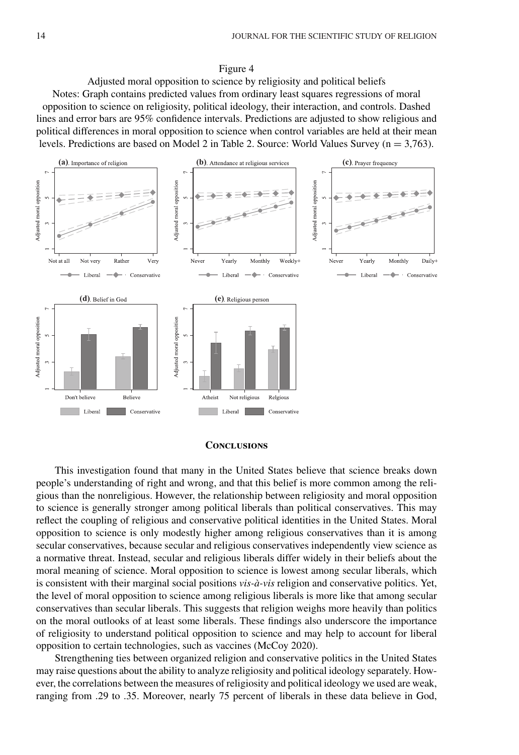# Figure 4

Adjusted moral opposition to science by religiosity and political beliefs Notes: Graph contains predicted values from ordinary least squares regressions of moral opposition to science on religiosity, political ideology, their interaction, and controls. Dashed lines and error bars are 95% confidence intervals. Predictions are adjusted to show religious and political differences in moral opposition to science when control variables are held at their mean levels. Predictions are based on Model 2 in Table 2. Source: World Values Survey ( $n = 3.763$ ).



# **Conclusions**

This investigation found that many in the United States believe that science breaks down people's understanding of right and wrong, and that this belief is more common among the religious than the nonreligious. However, the relationship between religiosity and moral opposition to science is generally stronger among political liberals than political conservatives. This may reflect the coupling of religious and conservative political identities in the United States. Moral opposition to science is only modestly higher among religious conservatives than it is among secular conservatives, because secular and religious conservatives independently view science as a normative threat. Instead, secular and religious liberals differ widely in their beliefs about the moral meaning of science. Moral opposition to science is lowest among secular liberals, which is consistent with their marginal social positions *vis-à-vis* religion and conservative politics. Yet, the level of moral opposition to science among religious liberals is more like that among secular conservatives than secular liberals. This suggests that religion weighs more heavily than politics on the moral outlooks of at least some liberals. These findings also underscore the importance of religiosity to understand political opposition to science and may help to account for liberal opposition to certain technologies, such as vaccines (McCoy 2020).

Strengthening ties between organized religion and conservative politics in the United States may raise questions about the ability to analyze religiosity and political ideology separately. However, the correlations between the measures of religiosity and political ideology we used are weak, ranging from .29 to .35. Moreover, nearly 75 percent of liberals in these data believe in God,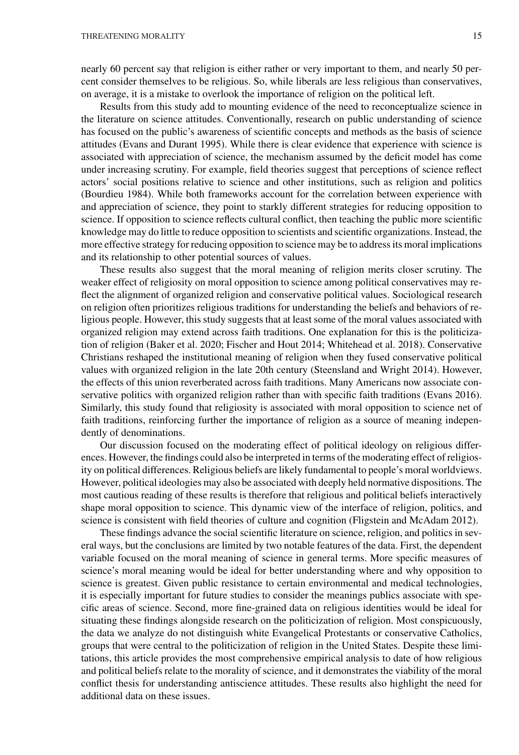nearly 60 percent say that religion is either rather or very important to them, and nearly 50 percent consider themselves to be religious. So, while liberals are less religious than conservatives, on average, it is a mistake to overlook the importance of religion on the political left.

Results from this study add to mounting evidence of the need to reconceptualize science in the literature on science attitudes. Conventionally, research on public understanding of science has focused on the public's awareness of scientific concepts and methods as the basis of science attitudes (Evans and Durant 1995). While there is clear evidence that experience with science is associated with appreciation of science, the mechanism assumed by the deficit model has come under increasing scrutiny. For example, field theories suggest that perceptions of science reflect actors' social positions relative to science and other institutions, such as religion and politics (Bourdieu 1984). While both frameworks account for the correlation between experience with and appreciation of science, they point to starkly different strategies for reducing opposition to science. If opposition to science reflects cultural conflict, then teaching the public more scientific knowledge may do little to reduce opposition to scientists and scientific organizations. Instead, the more effective strategy for reducing opposition to science may be to address its moral implications and its relationship to other potential sources of values.

These results also suggest that the moral meaning of religion merits closer scrutiny. The weaker effect of religiosity on moral opposition to science among political conservatives may reflect the alignment of organized religion and conservative political values. Sociological research on religion often prioritizes religious traditions for understanding the beliefs and behaviors of religious people. However, this study suggests that at least some of the moral values associated with organized religion may extend across faith traditions. One explanation for this is the politicization of religion (Baker et al. 2020; Fischer and Hout 2014; Whitehead et al. 2018). Conservative Christians reshaped the institutional meaning of religion when they fused conservative political values with organized religion in the late 20th century (Steensland and Wright 2014). However, the effects of this union reverberated across faith traditions. Many Americans now associate conservative politics with organized religion rather than with specific faith traditions (Evans 2016). Similarly, this study found that religiosity is associated with moral opposition to science net of faith traditions, reinforcing further the importance of religion as a source of meaning independently of denominations.

Our discussion focused on the moderating effect of political ideology on religious differences. However, the findings could also be interpreted in terms of the moderating effect of religiosity on political differences. Religious beliefs are likely fundamental to people's moral worldviews. However, political ideologies may also be associated with deeply held normative dispositions. The most cautious reading of these results is therefore that religious and political beliefs interactively shape moral opposition to science. This dynamic view of the interface of religion, politics, and science is consistent with field theories of culture and cognition (Fligstein and McAdam 2012).

These findings advance the social scientific literature on science, religion, and politics in several ways, but the conclusions are limited by two notable features of the data. First, the dependent variable focused on the moral meaning of science in general terms. More specific measures of science's moral meaning would be ideal for better understanding where and why opposition to science is greatest. Given public resistance to certain environmental and medical technologies, it is especially important for future studies to consider the meanings publics associate with specific areas of science. Second, more fine-grained data on religious identities would be ideal for situating these findings alongside research on the politicization of religion. Most conspicuously, the data we analyze do not distinguish white Evangelical Protestants or conservative Catholics, groups that were central to the politicization of religion in the United States. Despite these limitations, this article provides the most comprehensive empirical analysis to date of how religious and political beliefs relate to the morality of science, and it demonstrates the viability of the moral conflict thesis for understanding antiscience attitudes. These results also highlight the need for additional data on these issues.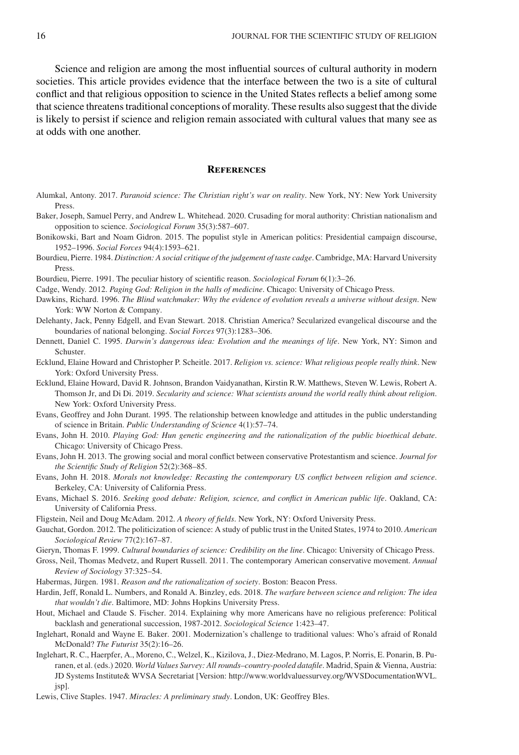Science and religion are among the most influential sources of cultural authority in modern societies. This article provides evidence that the interface between the two is a site of cultural conflict and that religious opposition to science in the United States reflects a belief among some that science threatens traditional conceptions of morality. These results also suggest that the divide is likely to persist if science and religion remain associated with cultural values that many see as at odds with one another.

#### **References**

- Alumkal, Antony. 2017. *Paranoid science: The Christian right's war on reality*. New York, NY: New York University Press.
- Baker, Joseph, Samuel Perry, and Andrew L. Whitehead. 2020. Crusading for moral authority: Christian nationalism and opposition to science. *Sociological Forum* 35(3):587–607.
- Bonikowski, Bart and Noam Gidron. 2015. The populist style in American politics: Presidential campaign discourse, 1952–1996. *Social Forces* 94(4):1593–621.
- Bourdieu, Pierre. 1984. *Distinction: A social critique of the judgement of taste cadge*. Cambridge, MA: Harvard University Press.
- Bourdieu, Pierre. 1991. The peculiar history of scientific reason. *Sociological Forum* 6(1):3–26.
- Cadge, Wendy. 2012. *Paging God: Religion in the halls of medicine*. Chicago: University of Chicago Press.
- Dawkins, Richard. 1996. *The Blind watchmaker: Why the evidence of evolution reveals a universe without design*. New York: WW Norton & Company.
- Delehanty, Jack, Penny Edgell, and Evan Stewart. 2018. Christian America? Secularized evangelical discourse and the boundaries of national belonging. *Social Forces* 97(3):1283–306.
- Dennett, Daniel C. 1995. *Darwin's dangerous idea: Evolution and the meanings of life*. New York, NY: Simon and Schuster.
- Ecklund, Elaine Howard and Christopher P. Scheitle. 2017. *Religion vs. science: What religious people really think*. New York: Oxford University Press.
- Ecklund, Elaine Howard, David R. Johnson, Brandon Vaidyanathan, Kirstin R.W. Matthews, Steven W. Lewis, Robert A. Thomson Jr, and Di Di. 2019. *Secularity and science: What scientists around the world really think about religion*. New York: Oxford University Press.
- Evans, Geoffrey and John Durant. 1995. The relationship between knowledge and attitudes in the public understanding of science in Britain. *Public Understanding of Science* 4(1):57–74.
- Evans, John H. 2010. *Playing God: Hun genetic engineering and the rationalization of the public bioethical debate*. Chicago: University of Chicago Press.
- Evans, John H. 2013. The growing social and moral conflict between conservative Protestantism and science. *Journal for the Scientific Study of Religion* 52(2):368–85.
- Evans, John H. 2018. *Morals not knowledge: Recasting the contemporary US conflict between religion and science*. Berkeley, CA: University of California Press.
- Evans, Michael S. 2016. *Seeking good debate: Religion, science, and conflict in American public life*. Oakland, CA: University of California Press.
- Fligstein, Neil and Doug McAdam. 2012. *A theory of fields*. New York, NY: Oxford University Press.
- Gauchat, Gordon. 2012. The politicization of science: A study of public trust in the United States, 1974 to 2010. *American Sociological Review* 77(2):167–87.
- Gieryn, Thomas F. 1999. *Cultural boundaries of science: Credibility on the line*. Chicago: University of Chicago Press.
- Gross, Neil, Thomas Medvetz, and Rupert Russell. 2011. The contemporary American conservative movement. *Annual Review of Sociology* 37:325–54.
- Habermas, Jürgen. 1981. *Reason and the rationalization of society*. Boston: Beacon Press.
- Hardin, Jeff, Ronald L. Numbers, and Ronald A. Binzley, eds. 2018. *The warfare between science and religion: The idea that wouldn't die*. Baltimore, MD: Johns Hopkins University Press.
- Hout, Michael and Claude S. Fischer. 2014. Explaining why more Americans have no religious preference: Political backlash and generational succession, 1987-2012. *Sociological Science* 1:423–47.
- Inglehart, Ronald and Wayne E. Baker. 2001. Modernization's challenge to traditional values: Who's afraid of Ronald McDonald? *The Futurist* 35(2):16–26.
- Inglehart, R. C., Haerpfer, A., Moreno, C., Welzel, K., Kizilova, J., Diez-Medrano, M. Lagos, P. Norris, E. Ponarin, B. Puranen, et al. (eds.) 2020. *World Values Survey: All rounds–country-pooled datafile*. Madrid, Spain & Vienna, Austria: JD Systems Institute& WVSA Secretariat [Version: [http://www.worldvaluessurvey.org/WVSDocumentationWVL.](http://www.worldvaluessurvey.org/WVSDocumentationWVL.jsp) [jsp\]](http://www.worldvaluessurvey.org/WVSDocumentationWVL.jsp).

Lewis, Clive Staples. 1947. *Miracles: A preliminary study*. London, UK: Geoffrey Bles.